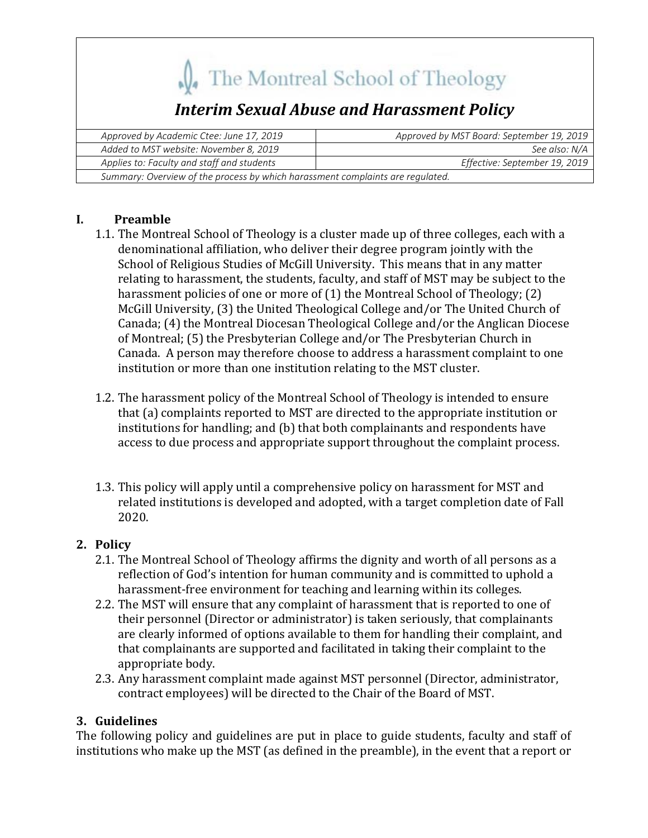## The Montreal School of Theology *Interim Sexual Abuse and Harassment Policy Approved by Academic Ctee: June 17, 2019 Approved by MST Board: September 19, 2019 Added to MST website: November 8, 2019 See also: N/A Applies to: Faculty and staff and students Effective: September 19, 2019 Summary: Overview of the process by which harassment complaints are regulated.*

## **I. Preamble**

- 1.1. The Montreal School of Theology is a cluster made up of three colleges, each with a denominational affiliation, who deliver their degree program jointly with the School of Religious Studies of McGill University. This means that in any matter relating to harassment, the students, faculty, and staff of MST may be subject to the harassment policies of one or more of  $(1)$  the Montreal School of Theology;  $(2)$ McGill University, (3) the United Theological College and/or The United Church of Canada; (4) the Montreal Diocesan Theological College and/or the Anglican Diocese of Montreal; (5) the Presbyterian College and/or The Presbyterian Church in Canada. A person may therefore choose to address a harassment complaint to one institution or more than one institution relating to the MST cluster.
- 1.2. The harassment policy of the Montreal School of Theology is intended to ensure that (a) complaints reported to MST are directed to the appropriate institution or institutions for handling; and (b) that both complainants and respondents have access to due process and appropriate support throughout the complaint process.
- 1.3. This policy will apply until a comprehensive policy on harassment for MST and related institutions is developed and adopted, with a target completion date of Fall 2020.

## 2. **Policy**

- 2.1. The Montreal School of Theology affirms the dignity and worth of all persons as a reflection of God's intention for human community and is committed to uphold a harassment-free environment for teaching and learning within its colleges.
- 2.2. The MST will ensure that any complaint of harassment that is reported to one of their personnel (Director or administrator) is taken seriously, that complainants are clearly informed of options available to them for handling their complaint, and that complainants are supported and facilitated in taking their complaint to the appropriate body.
- 2.3. Any harassment complaint made against MST personnel (Director, administrator, contract employees) will be directed to the Chair of the Board of MST.

## **3. Guidelines**

The following policy and guidelines are put in place to guide students, faculty and staff of institutions who make up the MST (as defined in the preamble), in the event that a report or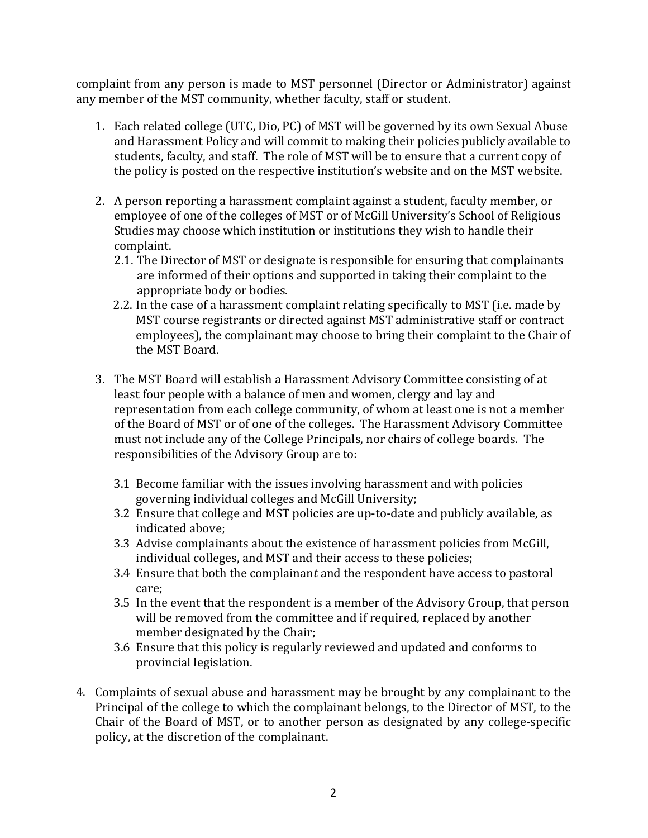complaint from any person is made to MST personnel (Director or Administrator) against any member of the MST community, whether faculty, staff or student.

- 1. Each related college (UTC, Dio, PC) of MST will be governed by its own Sexual Abuse and Harassment Policy and will commit to making their policies publicly available to students, faculty, and staff. The role of MST will be to ensure that a current copy of the policy is posted on the respective institution's website and on the MST website.
- 2. A person reporting a harassment complaint against a student, faculty member, or employee of one of the colleges of MST or of McGill University's School of Religious Studies may choose which institution or institutions they wish to handle their complaint.
	- 2.1. The Director of MST or designate is responsible for ensuring that complainants are informed of their options and supported in taking their complaint to the appropriate body or bodies.
	- 2.2. In the case of a harassment complaint relating specifically to MST (i.e. made by MST course registrants or directed against MST administrative staff or contract employees), the complainant may choose to bring their complaint to the Chair of the MST Board.
- 3. The MST Board will establish a Harassment Advisory Committee consisting of at least four people with a balance of men and women, clergy and lay and representation from each college community, of whom at least one is not a member of the Board of MST or of one of the colleges. The Harassment Advisory Committee must not include any of the College Principals, nor chairs of college boards. The responsibilities of the Advisory Group are to:
	- 3.1 Become familiar with the issues involving harassment and with policies governing individual colleges and McGill University;
	- 3.2 Ensure that college and MST policies are up-to-date and publicly available, as indicated above;
	- 3.3 Advise complainants about the existence of harassment policies from McGill, individual colleges, and MST and their access to these policies;
	- 3.4 Ensure that both the complainant and the respondent have access to pastoral care;
	- 3.5 In the event that the respondent is a member of the Advisory Group, that person will be removed from the committee and if required, replaced by another member designated by the Chair;
	- 3.6 Ensure that this policy is regularly reviewed and updated and conforms to provincial legislation.
- 4. Complaints of sexual abuse and harassment may be brought by any complainant to the Principal of the college to which the complainant belongs, to the Director of MST, to the Chair of the Board of MST, or to another person as designated by any college-specific policy, at the discretion of the complainant.